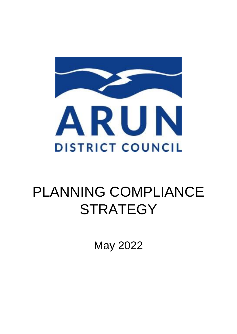

# PLANNING COMPLIANCE **STRATEGY**

May 2022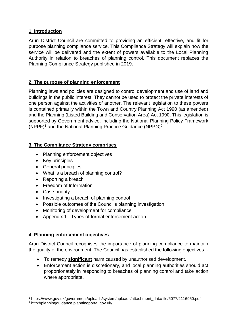# **1. Introduction**

Arun District Council are committed to providing an efficient, effective, and fit for purpose planning compliance service. This Compliance Strategy will explain how the service will be delivered and the extent of powers available to the Local Planning Authority in relation to breaches of planning control. This document replaces the Planning Compliance Strategy published in 2019.

# **2. The purpose of planning enforcement**

Planning laws and policies are designed to control development and use of land and buildings in the public interest. They cannot be used to protect the private interests of one person against the activities of another. The relevant legislation to these powers is contained primarily within the Town and Country Planning Act 1990 (as amended) and the Planning (Listed Building and Conservation Area) Act 1990. This legislation is supported by Government advice, including the National Planning Policy Framework (NPPF)<sup>1</sup> and the National Planning Practice Guidance (NPPG)<sup>2</sup>.

# **3. The Compliance Strategy comprises**

- Planning enforcement objectives
- Key principles
- General principles
- What is a breach of planning control?
- Reporting a breach
- Freedom of Information
- Case priority
- Investigating a breach of planning control
- Possible outcomes of the Council's planning investigation
- Monitoring of development for compliance
- Appendix 1 Types of formal enforcement action

### **4. Planning enforcement objectives**

Arun District Council recognises the importance of planning compliance to maintain the quality of the environment. The Council has established the following objectives: -

- To remedy **significant** harm caused by unauthorised development.
- Enforcement action is discretionary, and local planning authorities should act proportionately in responding to breaches of planning control and take action where appropriate.

**.** 

<sup>1</sup> https://www.gov.uk/government/uploads/system/uploads/attachment\_data/file/6077/2116950.pdf

<sup>2</sup> http://planningguidance.planningportal.gov.uk/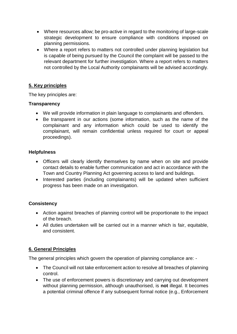- Where resources allow; be pro-active in regard to the monitoring of large-scale strategic development to ensure compliance with conditions imposed on planning permissions.
- Where a report refers to matters not controlled under planning legislation but is capable of being pursued by the Council the complaint will be passed to the relevant department for further investigation. Where a report refers to matters not controlled by the Local Authority complainants will be advised accordingly.

# **5. Key principles**

The key principles are:

# **Transparency**

- We will provide information in plain language to complainants and offenders.
- Be transparent in our actions (some information, such as the name of the complainant and any information which could be used to identify the complainant, will remain confidential unless required for court or appeal proceedings).

# **Helpfulness**

- Officers will clearly identify themselves by name when on site and provide contact details to enable further communication and act in accordance with the Town and Country Planning Act governing access to land and buildings.
- Interested parties (including complainants) will be updated when sufficient progress has been made on an investigation.

# **Consistency**

- Action against breaches of planning control will be proportionate to the impact of the breach.
- All duties undertaken will be carried out in a manner which is fair, equitable, and consistent.

# **6. General Principles**

The general principles which govern the operation of planning compliance are: -

- The Council will not take enforcement action to resolve all breaches of planning control.
- The use of enforcement powers is discretionary and carrying out development without planning permission, although unauthorised, is **not** illegal. It becomes a potential criminal offence if any subsequent formal notice (e.g., Enforcement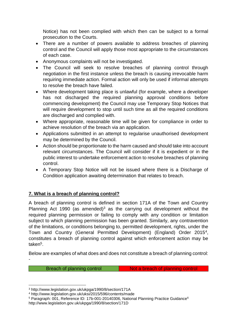Notice) has not been complied with which then can be subject to a formal prosecution to the Courts.

- There are a number of powers available to address breaches of planning control and the Council will apply those most appropriate to the circumstances of each case.
- Anonymous complaints will not be investigated.
- The Council will seek to resolve breaches of planning control through negotiation in the first instance unless the breach is causing irrevocable harm requiring immediate action. Formal action will only be used if informal attempts to resolve the breach have failed.
- Where development taking place is unlawful (for example, where a developer has not discharged the required planning approval conditions before commencing development) the Council may use Temporary Stop Notices that will require development to stop until such time as all the required conditions are discharged and complied with.
- Where appropriate, reasonable time will be given for compliance in order to achieve resolution of the breach via an application.
- Applications submitted in an attempt to regularise unauthorised development may be determined by the Council.
- Action should be proportionate to the harm caused and should take into account relevant circumstances. The Council will consider if it is expedient or in the public interest to undertake enforcement action to resolve breaches of planning control.
- A Temporary Stop Notice will not be issued where there is a Discharge of Condition application awaiting determination that relates to breach.

# **7. What is a breach of planning control?**

A breach of planning control is defined in section 171A of the Town and Country Planning Act 1990 (as amended)<sup>3</sup> as the carrying out development without the required planning permission or failing to comply with any condition or limitation subject to which planning permission has been granted. Similarly, any contravention of the limitations, or conditions belonging to, permitted development, rights, under the Town and Country (General Permitted Development) (England) Order 2015<sup>4</sup>, constitutes a breach of planning control against which enforcement action may be taken<sup>5</sup>.

Below are examples of what does and does not constitute a breach of planning control: -

Breach of planning control **Not a breach of planning control** 

**<sup>.</sup>** <sup>3</sup> http://www.legislation.gov.uk/ukpga/1990/8/section/171A

<sup>4</sup> http://www.legislation.gov.uk/uksi/2015/596/contents/made

<sup>&</sup>lt;sup>5</sup> Paragraph: 001, Reference ID: 17b-001-20140306, National Planning Practice Guidance<sup>6</sup> http://www.legislation.gov.uk/ukpga/1990/8/section/171D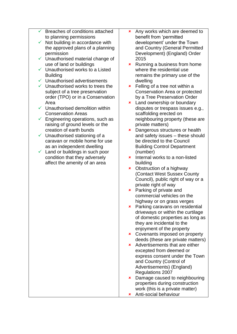- Breaches of conditions attached to planning permissions
- $\checkmark$  Not building in accordance with the approved plans of a planning permission
- $\checkmark$  Unauthorised material change of use of land or buildings
- $\checkmark$  Unauthorised works to a Listed **Building**
- $\checkmark$  Unauthorised advertisements
- $\checkmark$  Unauthorised works to trees the subject of a tree preservation order (TPO) or in a Conservation Area
- $\checkmark$  Unauthorised demolition within Conservation Areas
- $\checkmark$  Engineering operations, such as raising of ground levels or the creation of earth bunds
- $\checkmark$  Unauthorised stationing of a caravan or mobile home for use as an independent dwelling
- $\checkmark$  Land or buildings in such poor condition that they adversely affect the amenity of an area
- **\*** Any works which are deemed to benefit from 'permitted development' under the Town and Country (General Permitted Development) (England) Order 2015
- $\star$  Running a business from home where the residential use remains the primary use of the dwelling
- $\star$  Felling of a tree not within a Conservation Area or protected by a Tree Preservation Order
- **x** Land ownership or boundary disputes or trespass issues e.g., scaffolding erected on neighbouring property (these are private matters)
- **x** Dangerous structures or health and safety issues – these should be directed to the Council Building Control Department (number)
- $\cdot$  Internal works to a non-listed building
- Obstruction of a highway (Contact West Sussex County Council), public right of way or a private right of way
- **\*** Parking of private and commercial vehicles on the highway or on grass verges
- **\*** Parking caravans on residential driveways or within the curtilage of domestic properties as long as they are incidental to the enjoyment of the property
- **\*** Covenants imposed on property deeds (these are private matters)
- Advertisements that are either excepted from deemed or express consent under the Town and Country (Control of Advertisements) (England) Regulations 2007
- **\*** Damage caused to neighbouring properties during construction work (this is a private matter)
- Anti-social behaviour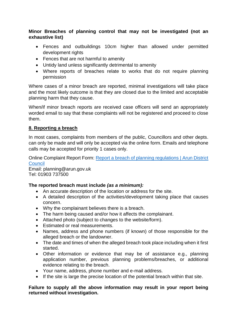### **Minor Breaches of planning control that may not be investigated (not an exhaustive list)**

- Fences and outbuildings 10cm higher than allowed under permitted development rights
- Fences that are not harmful to amenity
- Untidy land unless significantly detrimental to amenity
- Where reports of breaches relate to works that do not require planning permission

Where cases of a minor breach are reported, minimal investigations will take place and the most likely outcome is that they are closed due to the limited and acceptable planning harm that they cause.

When/if minor breach reports are received case officers will send an appropriately worded email to say that these complaints will not be registered and proceed to close them.

### **8. Reporting a breach**

In most cases, complaints from members of the public, Councillors and other depts. can only be made and will only be accepted via the online form. Emails and telephone calls may be accepted for priority 1 cases only.

Online Complaint Report Form: [Report a breach of planning regulations | Arun District](https://www.arun.gov.uk/planning-compliance/)  **[Council](https://www.arun.gov.uk/planning-compliance/)** 

Email: planning@arun.gov.uk Tel: 01903 737500

### **The reported breach must include** *(as a minimum):*

- An accurate description of the location or address for the site.
- A detailed description of the activities/development taking place that causes concern.
- Why the complainant believes there is a breach.
- The harm being caused and/or how it affects the complainant.
- Attached photo (subject to changes to the website/form).
- Estimated or real measurements.
- Names, address and phone numbers (if known) of those responsible for the alleged breach or the landowner.
- The date and times of when the alleged breach took place including when it first started.
- Other information or evidence that may be of assistance e.g., planning application number, previous planning problems/breaches, or additional evidence relating to the breach.
- Your name, address, phone number and e-mail address.
- If the site is large the precise location of the potential breach within that site.

#### **Failure to supply all the above information may result in your report being returned without investigation.**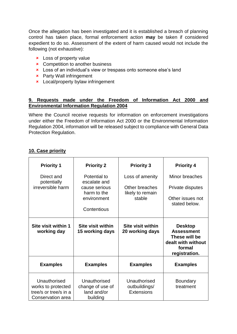Once the allegation has been investigated and it is established a breach of planning control has taken place, formal enforcement action **may** be taken if considered expedient to do so. Assessment of the extent of harm caused would not include the following (not exhaustive):

- **x** Loss of property value
- **x** Competition to another business
- **x** Loss of an individual's view or trespass onto someone else's land
- Party Wall infringement
- **x** Local/property bylaw infringement

# **9. Requests made under the Freedom of Information Act 2000 and Environmental Information Regulation 2004**

Where the Council receive requests for information on enforcement investigations under either the Freedom of Information Act 2000 or the Environmental Information Regulation 2004, information will be released subject to compliance with General Data Protection Regulation.

### **10. Case priority**

| <b>Priority 1</b>                  | <b>Priority 2</b>                           | <b>Priority 3</b>                    | <b>Priority 4</b>                                                                                     |
|------------------------------------|---------------------------------------------|--------------------------------------|-------------------------------------------------------------------------------------------------------|
| Direct and<br>potentially          | Potential to<br>escalate and                | Loss of amenity                      | Minor breaches                                                                                        |
| irreversible harm                  | cause serious<br>harm to the                | Other breaches<br>likely to remain   | Private disputes                                                                                      |
|                                    | environment                                 | stable                               | Other issues not<br>stated below.                                                                     |
|                                    | Contentious                                 |                                      |                                                                                                       |
| Site visit within 1<br>working day | <b>Site visit within</b><br>15 working days | Site visit within<br>20 working days | <b>Desktop</b><br><b>Assessment</b><br>These will be<br>dealt with without<br>formal<br>registration. |
| <b>Examples</b>                    |                                             |                                      |                                                                                                       |
|                                    | <b>Examples</b>                             | <b>Examples</b>                      | <b>Examples</b>                                                                                       |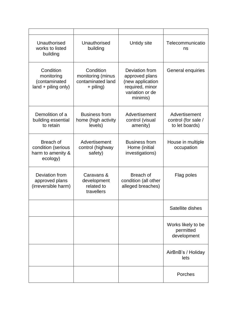| Unauthorised<br>works to listed<br>building                      | Unauthorised<br>building                                         | Untidy site                                                                                            | Telecommunicatio<br>ns                                 |
|------------------------------------------------------------------|------------------------------------------------------------------|--------------------------------------------------------------------------------------------------------|--------------------------------------------------------|
| Condition<br>monitoring<br>(contaminated<br>land + piling only)  | Condition<br>monitoring (minus<br>contaminated land<br>+ piling) | Deviation from<br>approved plans<br>(new application<br>required, minor<br>variation or de<br>minimis) | General enquiries                                      |
| Demolition of a<br>building essential<br>to retain               | <b>Business from</b><br>home (high activity<br>levels)           | Advertisement<br>control (visual<br>amenity)                                                           | Advertisement<br>control (for sale /<br>to let boards) |
| Breach of<br>condition (serious<br>harm to amenity &<br>ecology) | Advertisement<br>control (highway<br>safety)                     | <b>Business from</b><br>Home (initial<br>investigations)                                               | House in multiple<br>occupation                        |
| Deviation from<br>approved plans<br>(irreversible harm)          | Caravans &<br>development<br>related to<br>travellers            | Breach of<br>condition (all other<br>alleged breaches)                                                 | Flag poles                                             |
|                                                                  |                                                                  |                                                                                                        | Satellite dishes                                       |
|                                                                  |                                                                  |                                                                                                        | Works likely to be<br>permitted<br>development         |
|                                                                  |                                                                  |                                                                                                        | AirBnB's / Holiday<br>lets                             |
|                                                                  |                                                                  |                                                                                                        | Porches                                                |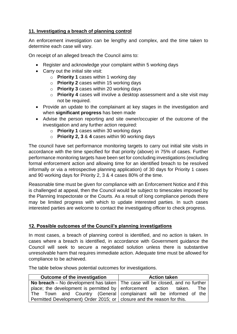# **11. Investigating a breach of planning control**

An enforcement investigation can be lengthy and complex, and the time taken to determine each case will vary.

On receipt of an alleged breach the Council aims to:

- Register and acknowledge your complaint within 5 working days
- Carry out the initial site visit:
	- o **Priority 1** cases within 1 working day
	- o **Priority 2** cases within 15 working days
	- o **Priority 3** cases within 20 working days
	- o **Priority 4** cases will involve a desktop assessment and a site visit may not be required.
- Provide an update to the complainant at key stages in the investigation and when **significant progress** has been made
- Advise the person reporting and site owner/occupier of the outcome of the investigation and any further action required:
	- o **Priority 1** cases within 30 working days
	- o **Priority 2, 3** & **4** cases within 90 working days

The council have set performance monitoring targets to carry out initial site visits in accordance with the time specified for that priority (above) in 75% of cases. Further performance monitoring targets have been set for concluding investigations (excluding formal enforcement action and allowing time for an identified breach to be resolved informally or via a retrospective planning application) of 30 days for Priority 1 cases and 90 working days for Priority 2, 3 & 4 cases 80% of the time.

Reasonable time must be given for compliance with an Enforcement Notice and if this is challenged at appeal, then the Council would be subject to timescales imposed by the Planning Inspectorate or the Courts. As a result of long compliance periods there may be limited progress with which to update interested parties. In such cases interested parties are welcome to contact the investigating officer to check progress.

### **12. Possible outcomes of the Council's planning investigations**

In most cases, a breach of planning control is identified, and no action is taken. In cases where a breach is identified, in accordance with Government guidance the Council will seek to secure a negotiated solution unless there is substantive unresolvable harm that requires immediate action. Adequate time must be allowed for compliance to be achieved.

The table below shows potential outcomes for investigations.

| Outcome of the investigation                                                                | <b>Action taken</b> |
|---------------------------------------------------------------------------------------------|---------------------|
| <b>No breach</b> – No development has taken $\vert$ The case will be closed, and no further |                     |
| place; the development is permitted by $ $ enforcement action taken.                        | <b>The</b>          |
| The Town and Country (General complainant will be informed of the                           |                     |
| Permitted Development) Order 2015; or closure and the reason for this.                      |                     |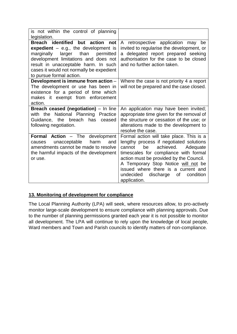| is not within the control of planning<br>legislation.                                                                                                                                                                                                                              |                                                                                                                                                                                                                                                                                                                                                             |
|------------------------------------------------------------------------------------------------------------------------------------------------------------------------------------------------------------------------------------------------------------------------------------|-------------------------------------------------------------------------------------------------------------------------------------------------------------------------------------------------------------------------------------------------------------------------------------------------------------------------------------------------------------|
| Breach identified but action<br>not<br>expedient $-$ e.g., the development is<br>than<br>larger<br>marginally<br>permitted<br>development limitations and does not<br>result in unacceptable harm. In such<br>cases it would not normally be expedient<br>to pursue formal action. | A retrospective application may be<br>invited to regularise the development, or<br>delegated report prepared seeking<br>a<br>authorisation for the case to be closed<br>and no further action taken.                                                                                                                                                        |
| Development is immune from action -<br>The development or use has been in<br>existence for a period of time which<br>makes it exempt from enforcement<br>action.                                                                                                                   | Where the case is not priority 4 a report<br>will not be prepared and the case closed.                                                                                                                                                                                                                                                                      |
| Breach ceased (negotiation) - In line<br>with the National Planning<br>Practice<br>has<br>Guidance, the breach<br>ceased<br>following negotiation.                                                                                                                                 | An application may have been invited;<br>appropriate time given for the removal of<br>the structure or cessation of the use; or<br>alterations made to the development to<br>resolve the case.                                                                                                                                                              |
| <b>Formal Action - The development</b><br>unacceptable<br>harm<br>causes<br>and<br>amendments cannot be made to resolve<br>the harmful impacts of the development<br>or use.                                                                                                       | Formal action will take place. This is a<br>lengthy process if negotiated solutions<br>achieved.<br>cannot<br>be<br>Adequate<br>timescales for compliance with formal<br>action must be provided by the Council.<br>A Temporary Stop Notice will not be<br>issued where there is a current and<br>condition<br>undecided<br>discharge<br>0f<br>application. |

# **13. Monitoring of development for compliance**

The Local Planning Authority (LPA) will seek, where resources allow, to pro-actively monitor large-scale development to ensure compliance with planning approvals. Due to the number of planning permissions granted each year it is not possible to monitor all development. The LPA will continue to rely upon the knowledge of local people, Ward members and Town and Parish councils to identify matters of non-compliance.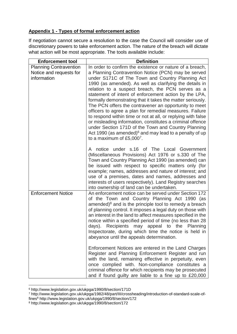# **Appendix 1 - Types of formal enforcement action**

If negotiation cannot secure a resolution to the case the Council will consider use of discretionary powers to take enforcement action. The nature of the breach will dictate what action will be most appropriate. The tools available include:

| <b>Enforcement tool</b>                                                 | <b>Definition</b>                                                                                                                                                                                                                                                                                                                                                                                                                                                                                                                                                                                                                                                                                                                                                                                                       |
|-------------------------------------------------------------------------|-------------------------------------------------------------------------------------------------------------------------------------------------------------------------------------------------------------------------------------------------------------------------------------------------------------------------------------------------------------------------------------------------------------------------------------------------------------------------------------------------------------------------------------------------------------------------------------------------------------------------------------------------------------------------------------------------------------------------------------------------------------------------------------------------------------------------|
| <b>Planning Contravention</b><br>Notice and requests for<br>information | In order to confirm the existence or nature of a breach,<br>a Planning Contravention Notice (PCN) may be served<br>under S171C of The Town and Country Planning Act<br>1990 (as amended). As well as clarifying the details in<br>relation to a suspect breach, the PCN serves as a<br>statement of intent of enforcement action by the LPA,<br>formally demonstrating that it takes the matter seriously.<br>The PCN offers the contravener an opportunity to meet<br>officers to agree a plan for remedial measures. Failure<br>to respond within time or not at all, or replying with false<br>or misleading information, constitutes a criminal offence<br>under Section 171D of the Town and Country Planning<br>Act 1990 (as amended) <sup>6</sup> and may lead to a penalty of up<br>to a maximum of $£5,0007$ . |
|                                                                         | A notice under s.16 of The Local Government<br>(Miscellaneous Provisions) Act 1976 or s.330 of The<br>Town and Country Planning Act 1990 (as amended) can<br>be issued with respect to specific matters only (for<br>example; names, addresses and nature of interest; and<br>use of a premises, dates and names, addresses and<br>interests of users respectively). Land Registry searches<br>into ownership of land can be undertaken.                                                                                                                                                                                                                                                                                                                                                                                |
| <b>Enforcement Notice</b>                                               | An enforcement notice can be served under Section 172<br>of the Town and Country Planning Act 1990 (as<br>amended) $8$ and is the principle tool to remedy a breach<br>of planning control. It imposes a legal duty on those with<br>an interest in the land to affect measures specified in the<br>notice within a specified period of time (no less than 28<br>Recipients<br>days).<br>may appeal to the Planning<br>Inspectorate, during which time the notice is held in<br>abeyance until the appeals determination.                                                                                                                                                                                                                                                                                               |
|                                                                         | Enforcement Notices are entered in the Land Charges<br>Register and Planning Enforcement Register and run<br>with the land, remaining effective in perpetuity, even<br>once complied with. Non-compliance constitutes a<br>criminal offence for which recipients may be prosecuted<br>and if found guilty are liable to a fine up to £20,000                                                                                                                                                                                                                                                                                                                                                                                                                                                                            |

**<sup>.</sup>** <sup>6</sup> http://www.legislation.gov.uk/ukpga/1990/8/section/171D

<sup>7</sup> http://www.legislation.gov.uk/ukpga/1982/48/part/III/crossheading/introduction-of-standard-scale-of-

fines<sup>8</sup> http://www.legislation.gov.uk/ukpga/1990/8/section/172

<sup>8</sup> http://www.legislation.gov.uk/ukpga/1990/8/section/172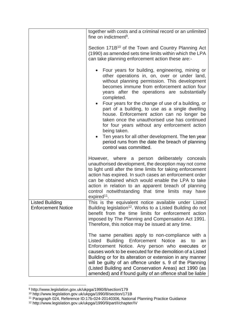|                                                     | together with costs and a criminal record or an unlimited<br>fine on indictment <sup>9</sup> .                                                                                                                                                                                                                                                                                                                                                                                    |
|-----------------------------------------------------|-----------------------------------------------------------------------------------------------------------------------------------------------------------------------------------------------------------------------------------------------------------------------------------------------------------------------------------------------------------------------------------------------------------------------------------------------------------------------------------|
|                                                     | Section 171B <sup>10</sup> of the Town and Country Planning Act<br>(1990) as amended sets time limits within which the LPA<br>can take planning enforcement action these are:-                                                                                                                                                                                                                                                                                                    |
|                                                     | Four years for building, engineering, mining or<br>other operations in, on, over or under land,<br>without planning permission. This development<br>becomes immune from enforcement action four<br>years after the operations are substantially<br>completed.                                                                                                                                                                                                                     |
|                                                     | Four years for the change of use of a building, or<br>part of a building, to use as a single dwelling<br>house. Enforcement action can no longer be<br>taken once the unauthorised use has continued<br>for four years without any enforcement action<br>being taken.                                                                                                                                                                                                             |
|                                                     | Ten years for all other development. The ten year<br>period runs from the date the breach of planning<br>control was committed.                                                                                                                                                                                                                                                                                                                                                   |
|                                                     | However, where a person deliberately conceals<br>unauthorised development, the deception may not come<br>to light until after the time limits for taking enforcement<br>action has expired. In such cases an enforcement order<br>can be obtained which would enable the LPA to take<br>action in relation to an apparent breach of planning<br>control notwithstanding that time limits may have<br>$expired11$ .                                                                |
| <b>Listed Building</b><br><b>Enforcement Notice</b> | This is the equivalent notice available under Listed<br>Building legislation <sup>12</sup> . Works to a Listed Building do not<br>benefit from the time limits for enforcement action<br>imposed by The Planning and Compensation Act 1991.<br>Therefore, this notice may be issued at any time.                                                                                                                                                                                  |
|                                                     | The same penalties apply to non-compliance with a<br><b>Building Enforcement Notice</b><br>Listed<br>as<br>to<br>an<br>Enforcement Notice. Any person who executes or<br>causes work to be executed for the demolition of a Listed<br>Building or for its alteration or extension in any manner<br>will be guilty of an offence under s. 9 of the Planning<br>(Listed Building and Conservation Areas) act 1990 (as<br>amended) and if found guilty of an offence shall be liable |

<sup>9</sup> http://www.legislation.gov.uk/ukpga/1990/8/section/179

**.** 

<sup>10</sup> http://www.legislation.gov.uk/ukpga/1990/8/section/171B

<sup>11</sup> Paragraph 024, Reference ID:17b-024-20140306, National Planning Practice Guidance

<sup>12</sup> http://www.legislation.gov.uk/ukpga/1990/9/part/I/chapter/IV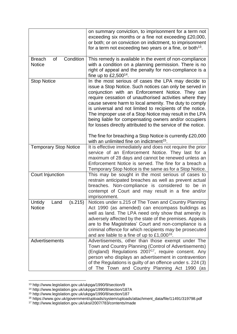|                                                   | on summary conviction, to imprisonment for a term not<br>exceeding six months or a fine not exceeding £20,000,<br>or both; or on conviction on indictment, to imprisonment<br>for a term not exceeding two years or a fine, or both $13$ .                                                                                                                                                                                                                                                                                                                                                           |
|---------------------------------------------------|------------------------------------------------------------------------------------------------------------------------------------------------------------------------------------------------------------------------------------------------------------------------------------------------------------------------------------------------------------------------------------------------------------------------------------------------------------------------------------------------------------------------------------------------------------------------------------------------------|
| Condition<br>of<br><b>Breach</b><br><b>Notice</b> | This remedy is available in the event of non-compliance<br>with a condition on a planning permission. There is no<br>right of appeal and the penalty for non-compliance is a<br>fine up to $£2,500^{14}$ .                                                                                                                                                                                                                                                                                                                                                                                           |
| <b>Stop Notice</b>                                | In the most serious of cases the LPA may decide to<br>issue a Stop Notice. Such notices can only be served in<br>conjunction with an Enforcement Notice. They can<br>require cessation of unauthorised activities where they<br>cause severe harm to local amenity. The duty to comply<br>is universal and not limited to recipients of the notice.<br>The improper use of a Stop Notice may result in the LPA<br>being liable for compensating owners and/or occupiers<br>for losses directly attributed to the service of the notice.<br>The fine for breaching a Stop Notice is currently £20,000 |
|                                                   | with an unlimited fine on indictment <sup>15</sup> .                                                                                                                                                                                                                                                                                                                                                                                                                                                                                                                                                 |
| <b>Temporary Stop Notice</b>                      | It is effective immediately and does not require the prior<br>service of an Enforcement Notice. They last for a<br>maximum of 28 days and cannot be renewed unless an<br>Enforcement Notice is served. The fine for a breach a<br>Temporary Stop Notice is the same as for a Stop Notice.                                                                                                                                                                                                                                                                                                            |
| Court Injunction                                  | This may be sought in the most serious of cases to<br>restrain anticipated breaches as well as prevent actual<br>breaches. Non-compliance is considered to<br>be in<br>contempt of Court and may result in a fine and/or<br>imprisonment.                                                                                                                                                                                                                                                                                                                                                            |
| (s.215)<br>Untidy<br>Land<br><b>Notice</b>        | Notices under s.215 of The Town and Country Planning<br>Act 1990 (as amended) can encompass buildings as<br>well as land. The LPA need only show that amenity is<br>adversely affected by the state of the premises. Appeals<br>are to the Magistrates' Court and non-compliance is a<br>criminal offence for which recipients may be prosecuted<br>and are liable to a fine of up to $£1,000^{16}$ .                                                                                                                                                                                                |
| Advertisements                                    | Advertisements, other than those exempt under The<br>Town and Country Planning (Control of Advertisements)<br>(England) Regulations 2007 <sup>17</sup> , require consent. Any<br>person who displays an advertisement in contravention<br>of the Regulations is guilty of an offence under s. 224 (3)<br>of The Town and Country Planning Act 1990<br>(as                                                                                                                                                                                                                                            |

**<sup>.</sup>** <sup>13</sup> http://www.legislation.gov.uk/ukpga/1990/9/section/9

<sup>14</sup> http://www.legislation.gov.uk/ukpga/1990/8/section/187A

<sup>15</sup> http://www.legislation.gov.uk/ukpga/1990/8/section/187

<sup>16</sup> https://www.gov.uk/government/uploads/system/uploads/attachment\_data/file/11491/319798.pdf

<sup>17</sup> http://www.legislation.gov.uk/uksi/2007/783/contents/made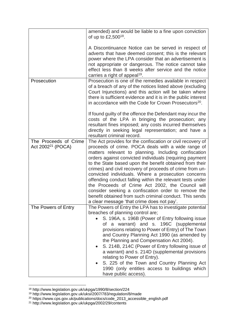|                                                 | amended) and would be liable to a fine upon conviction<br>of up to $£2,500^{18}$ .                                                                                                                                                                                                                                                                                                                                                                                                                                                                                                                                                                                                                 |
|-------------------------------------------------|----------------------------------------------------------------------------------------------------------------------------------------------------------------------------------------------------------------------------------------------------------------------------------------------------------------------------------------------------------------------------------------------------------------------------------------------------------------------------------------------------------------------------------------------------------------------------------------------------------------------------------------------------------------------------------------------------|
|                                                 | A Discontinuance Notice can be served in respect of<br>adverts that have deemed consent; this is the relevant<br>power where the LPA consider that an advertisement is<br>not appropriate or dangerous. The notice cannot take<br>effect less than 8 weeks after service and the notice<br>carries a right of appeal <sup>19</sup> .                                                                                                                                                                                                                                                                                                                                                               |
| Prosecution                                     | Prosecution is one of the remedies available in respect<br>of a breach of any of the notices listed above (excluding<br>Court Injunctions) and this action will be taken where<br>there is sufficient evidence and it is in the public interest<br>in accordance with the Code for Crown Prosecutors <sup>20</sup> .                                                                                                                                                                                                                                                                                                                                                                               |
|                                                 | If found guilty of the offence the Defendant may incur the<br>costs of the LPA in bringing the prosecution; any<br>resultant fines imposed; any costs incurred themselves<br>directly in seeking legal representation; and have a<br>resultant criminal record.                                                                                                                                                                                                                                                                                                                                                                                                                                    |
| The Proceeds of Crime<br>Act $2002^{21}$ (POCA) | The Act provides for the confiscation or civil recovery of<br>proceeds of crime. POCA deals with a wide range of<br>matters relevant to planning. Including confiscation<br>orders against convicted individuals (requiring payment<br>to the State based upon the benefit obtained from their<br>crimes) and civil recovery of proceeds of crime from un-<br>convicted individuals. Where a prosecution concerns<br>offending conduct falling within the relevant tests under<br>the Proceeds of Crime Act 2002, the Council will<br>consider seeking a confiscation order to remove the<br>benefit obtained from such criminal conduct. This sends<br>a clear message 'that crime does not pay'. |
| The Powers of Entry                             | The Powers of Entry the LPA has to investigate potential<br>breaches of planning control are;<br>S. 196A, s. 196B (Power of Entry following issue<br>of a warrant) and s. 196C (supplemental<br>provisions relating to Power of Entry) of The Town<br>and Country Planning Act 1990 (as amended by<br>the Planning and Compensation Act 2004).<br>S. 214B, 214C (Power of Entry following issue of<br>$\bullet$<br>a warrant) and s. 214D (supplemental provisions<br>relating to Power of Entry).<br>S. 225 of the Town and Country Planning Act<br>1990 (only entitles access to buildings which<br>have public access).                                                                         |

<sup>18</sup> http://www.legislation.gov.uk/ukpga/1990/8/section/224

**.** 

<sup>19</sup> http://www.legislation.gov.uk/uksi/2007/783/regulation/8/made

<sup>&</sup>lt;sup>20</sup> https://www.cps.gov.uk/publications/docs/code\_2013\_accessible\_english.pdf

<sup>21</sup> http://www.legislation.gov.uk/ukpga/2002/29/contents